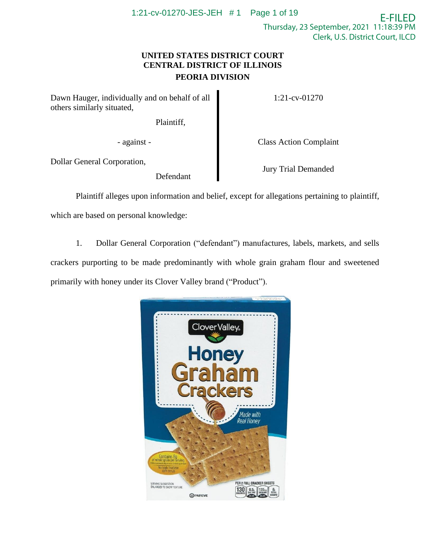## **UNITED STATES DISTRICT COURT CENTRAL DISTRICT OF ILLINOIS PEORIA DIVISION**

Dawn Hauger, individually and on behalf of all others similarly situated,

Plaintiff,

1:21-cv-01270

Dollar General Corporation,

Defendant

- against - Class Action Complaint

Jury Trial Demanded

Plaintiff alleges upon information and belief, except for allegations pertaining to plaintiff,

which are based on personal knowledge:

1. Dollar General Corporation ("defendant") manufactures, labels, markets, and sells crackers purporting to be made predominantly with whole grain graham flour and sweetened primarily with honey under its Clover Valley brand ("Product").

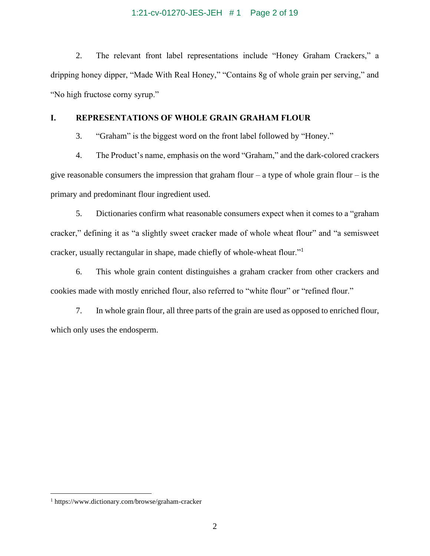#### 1:21-cv-01270-JES-JEH # 1 Page 2 of 19

2. The relevant front label representations include "Honey Graham Crackers," a dripping honey dipper, "Made With Real Honey," "Contains 8g of whole grain per serving," and "No high fructose corny syrup."

#### **I. REPRESENTATIONS OF WHOLE GRAIN GRAHAM FLOUR**

3. "Graham" is the biggest word on the front label followed by "Honey."

4. The Product's name, emphasis on the word "Graham," and the dark-colored crackers give reasonable consumers the impression that graham flour – a type of whole grain flour – is the primary and predominant flour ingredient used.

5. Dictionaries confirm what reasonable consumers expect when it comes to a "graham cracker," defining it as "a slightly sweet cracker made of whole wheat flour" and "a semisweet cracker, usually rectangular in shape, made chiefly of whole-wheat flour."<sup>1</sup>

6. This whole grain content distinguishes a graham cracker from other crackers and cookies made with mostly enriched flour, also referred to "white flour" or "refined flour."

7. In whole grain flour, all three parts of the grain are used as opposed to enriched flour, which only uses the endosperm.

<sup>1</sup> https://www.dictionary.com/browse/graham-cracker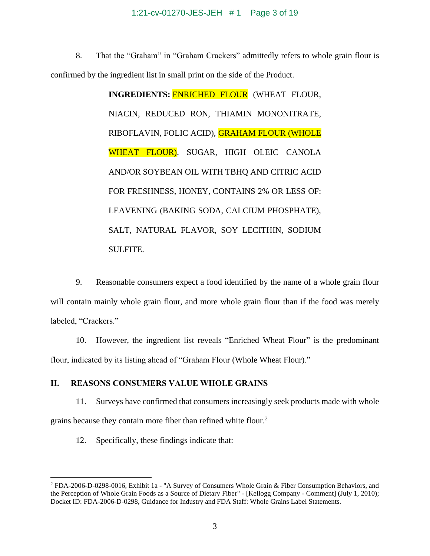#### 1:21-cv-01270-JES-JEH # 1 Page 3 of 19

8. That the "Graham" in "Graham Crackers" admittedly refers to whole grain flour is confirmed by the ingredient list in small print on the side of the Product.

> **INGREDIENTS:** ENRICHED FLOUR (WHEAT FLOUR, NIACIN, REDUCED RON, THIAMIN MONONITRATE, RIBOFLAVIN, FOLIC ACID), GRAHAM FLOUR (WHOLE WHEAT FLOUR), SUGAR, HIGH OLEIC CANOLA AND/OR SOYBEAN OIL WITH TBHQ AND CITRIC ACID FOR FRESHNESS, HONEY, CONTAINS 2% OR LESS OF: LEAVENING (BAKING SODA, CALCIUM PHOSPHATE), SALT, NATURAL FLAVOR, SOY LECITHIN, SODIUM SULFITE.

9. Reasonable consumers expect a food identified by the name of a whole grain flour will contain mainly whole grain flour, and more whole grain flour than if the food was merely labeled, "Crackers."

10. However, the ingredient list reveals "Enriched Wheat Flour" is the predominant flour, indicated by its listing ahead of "Graham Flour (Whole Wheat Flour)."

#### **II. REASONS CONSUMERS VALUE WHOLE GRAINS**

11. Surveys have confirmed that consumers increasingly seek products made with whole grains because they contain more fiber than refined white flour.<sup>2</sup>

12. Specifically, these findings indicate that:

<sup>2</sup> FDA-2006-D-0298-0016, Exhibit 1a - "A Survey of Consumers Whole Grain & Fiber Consumption Behaviors, and the Perception of Whole Grain Foods as a Source of Dietary Fiber" - [Kellogg Company - Comment] (July 1, 2010); Docket ID: FDA-2006-D-0298, Guidance for Industry and FDA Staff: Whole Grains Label Statements.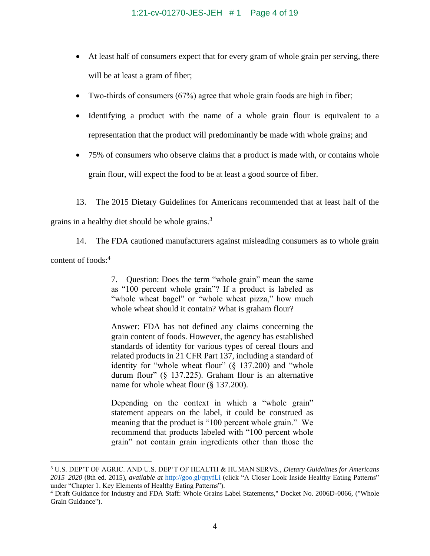- At least half of consumers expect that for every gram of whole grain per serving, there will be at least a gram of fiber;
- Two-thirds of consumers (67%) agree that whole grain foods are high in fiber;
- Identifying a product with the name of a whole grain flour is equivalent to a representation that the product will predominantly be made with whole grains; and
- 75% of consumers who observe claims that a product is made with, or contains whole grain flour, will expect the food to be at least a good source of fiber.
- 13. The 2015 Dietary Guidelines for Americans recommended that at least half of the

grains in a healthy diet should be whole grains.<sup>3</sup>

14. The FDA cautioned manufacturers against misleading consumers as to whole grain content of foods:<sup>4</sup>

> 7. Question: Does the term "whole grain" mean the same as "100 percent whole grain"? If a product is labeled as "whole wheat bagel" or "whole wheat pizza," how much whole wheat should it contain? What is graham flour?

> Answer: FDA has not defined any claims concerning the grain content of foods. However, the agency has established standards of identity for various types of cereal flours and related products in 21 CFR Part 137, including a standard of identity for "whole wheat flour" (§ 137.200) and "whole durum flour" (§ 137.225). Graham flour is an alternative name for whole wheat flour (§ 137.200).

> Depending on the context in which a "whole grain" statement appears on the label, it could be construed as meaning that the product is "100 percent whole grain." We recommend that products labeled with "100 percent whole grain" not contain grain ingredients other than those the

<sup>3</sup> U.S. DEP'T OF AGRIC. AND U.S. DEP'T OF HEALTH & HUMAN SERVS., *Dietary Guidelines for Americans 2015–2020* (8th ed. 2015), *available at* <http://goo.gl/qnyfLi> (click "A Closer Look Inside Healthy Eating Patterns" under "Chapter 1. Key Elements of Healthy Eating Patterns").

<sup>4</sup> Draft Guidance for Industry and FDA Staff: Whole Grains Label Statements," Docket No. 2006D-0066, ("Whole Grain Guidance").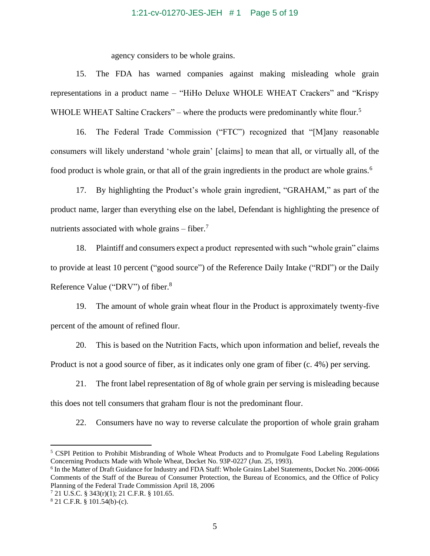#### 1:21-cv-01270-JES-JEH # 1 Page 5 of 19

agency considers to be whole grains.

15. The FDA has warned companies against making misleading whole grain representations in a product name – "HiHo Deluxe WHOLE WHEAT Crackers" and "Krispy WHOLE WHEAT Saltine Crackers" – where the products were predominantly white flour.<sup>5</sup>

16. The Federal Trade Commission ("FTC") recognized that "[M]any reasonable consumers will likely understand 'whole grain' [claims] to mean that all, or virtually all, of the food product is whole grain, or that all of the grain ingredients in the product are whole grains.<sup>6</sup>

17. By highlighting the Product's whole grain ingredient, "GRAHAM," as part of the product name, larger than everything else on the label, Defendant is highlighting the presence of nutrients associated with whole grains  $-$  fiber.<sup>7</sup>

18. Plaintiff and consumers expect a product represented with such "whole grain" claims to provide at least 10 percent ("good source") of the Reference Daily Intake ("RDI") or the Daily Reference Value ("DRV") of fiber.<sup>8</sup>

19. The amount of whole grain wheat flour in the Product is approximately twenty-five percent of the amount of refined flour.

20. This is based on the Nutrition Facts, which upon information and belief, reveals the Product is not a good source of fiber, as it indicates only one gram of fiber (c. 4%) per serving.

21. The front label representation of 8g of whole grain per serving is misleading because this does not tell consumers that graham flour is not the predominant flour.

22. Consumers have no way to reverse calculate the proportion of whole grain graham

<sup>5</sup> CSPI Petition to Prohibit Misbranding of Whole Wheat Products and to Promulgate Food Labeling Regulations Concerning Products Made with Whole Wheat, Docket No. 93P-0227 (Jun. 25, 1993).

<sup>&</sup>lt;sup>6</sup> In the Matter of Draft Guidance for Industry and FDA Staff: Whole Grains Label Statements, Docket No. 2006-0066 Comments of the Staff of the Bureau of Consumer Protection, the Bureau of Economics, and the Office of Policy Planning of the Federal Trade Commission April 18, 2006

<sup>7</sup> 21 U.S.C. § 343(r)(1); 21 C.F.R. § 101.65.

<sup>8</sup> 21 C.F.R. § 101.54(b)-(c).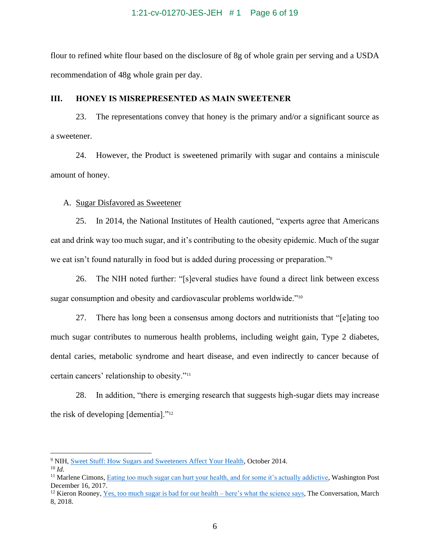flour to refined white flour based on the disclosure of 8g of whole grain per serving and a USDA recommendation of 48g whole grain per day.

#### **III. HONEY IS MISREPRESENTED AS MAIN SWEETENER**

23. The representations convey that honey is the primary and/or a significant source as a sweetener.

24. However, the Product is sweetened primarily with sugar and contains a miniscule amount of honey.

## A. Sugar Disfavored as Sweetener

25. In 2014, the National Institutes of Health cautioned, "experts agree that Americans eat and drink way too much sugar, and it's contributing to the obesity epidemic. Much of the sugar we eat isn't found naturally in food but is added during processing or preparation."<sup>9</sup>

26. The NIH noted further: "[s]everal studies have found a direct link between excess sugar consumption and obesity and cardiovascular problems worldwide."<sup>10</sup>

27. There has long been a consensus among doctors and nutritionists that "[e]ating too much sugar contributes to numerous health problems, including weight gain, Type 2 diabetes, dental caries, metabolic syndrome and heart disease, and even indirectly to cancer because of certain cancers' relationship to obesity."<sup>11</sup>

28. In addition, "there is emerging research that suggests high-sugar diets may increase the risk of developing [dementia]."<sup>12</sup>

<sup>&</sup>lt;sup>9</sup> NIH[, Sweet Stuff: How Sugars and Sweeteners Affect Your Health,](https://newsinhealth.nih.gov/2014/10/sweet-stuff) October 2014.

<sup>10</sup> *Id.*

<sup>&</sup>lt;sup>11</sup> Marlene Cimons, [Eating too much sugar can hurt your health, and for some it's actually addictive,](https://www.washingtonpost.com/national/health-science/eating-too-much-sugar-can-hurt-your-health-and-for-some-its-actually-addictive/2017/12/15/3853d3e8-de8b-11e7-bbd0-9dfb2e37492a_story.html) Washington Post December 16, 2017.

<sup>&</sup>lt;sup>12</sup> Kieron Rooney, <u>Yes, too much sugar is bad for our health – here's what the science says, The Conversation, March</u> 8, 2018.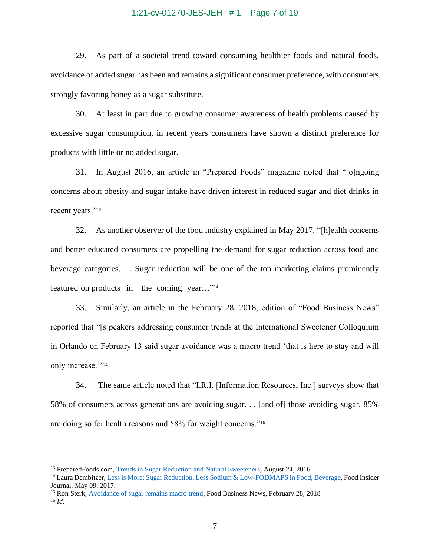#### 1:21-cv-01270-JES-JEH # 1 Page 7 of 19

29. As part of a societal trend toward consuming healthier foods and natural foods, avoidance of added sugar has been and remains a significant consumer preference, with consumers strongly favoring honey as a sugar substitute.

30. At least in part due to growing consumer awareness of health problems caused by excessive sugar consumption, in recent years consumers have shown a distinct preference for products with little or no added sugar.

31. In August 2016, an article in "Prepared Foods" magazine noted that "[o]ngoing concerns about obesity and sugar intake have driven interest in reduced sugar and diet drinks in recent years."<sup>13</sup>

32. As another observer of the food industry explained in May 2017, "[h]ealth concerns and better educated consumers are propelling the demand for sugar reduction across food and beverage categories. . . Sugar reduction will be one of the top marketing claims prominently featured on products in the coming year..."<sup>14</sup>

33. Similarly, an article in the February 28, 2018, edition of "Food Business News" reported that "[s]peakers addressing consumer trends at the International Sweetener Colloquium in Orlando on February 13 said sugar avoidance was a macro trend 'that is here to stay and will only increase.""15

34. The same article noted that "I.R.I. [Information Resources, Inc.] surveys show that 58% of consumers across generations are avoiding sugar. . . [and of] those avoiding sugar, 85% are doing so for health reasons and 58% for weight concerns."<sup>16</sup>

<sup>13</sup> PreparedFoods.com[, Trends in Sugar Reduction and Natural Sweeteners,](https://www.preparedfoods.com/articles/118643-trends-in-sugar-reduction-and-natural-sweeteners) August 24, 2016.

<sup>&</sup>lt;sup>14</sup> Laura Dembitzer[, Less is More: Sugar Reduction, Less Sodium & Low-FODMAPS in Food, Beverage,](https://www.foodinsiderjournal.com/formulation-solutions/less-more-sugar-reduction-less-sodium-low-fodmaps-food-beverage) Food Insider Journal, May 09, 2017.

<sup>&</sup>lt;sup>15</sup> Ron Sterk, [Avoidance of sugar remains macro trend,](https://www.foodbusinessnews.net/articles/11380-avoidance-of-sugar-remains-macro-trend) Food Business News, February 28, 2018 <sup>16</sup> *Id*.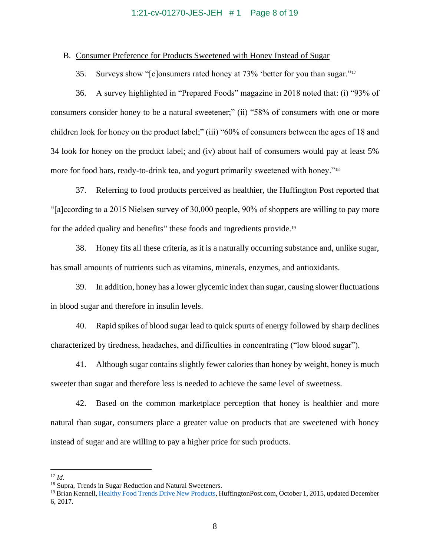#### 1:21-cv-01270-JES-JEH # 1 Page 8 of 19

#### B. Consumer Preference for Products Sweetened with Honey Instead of Sugar

35. Surveys show "[c]onsumers rated honey at 73% 'better for you than sugar."<sup>17</sup>

36. A survey highlighted in "Prepared Foods" magazine in 2018 noted that: (i) "93% of consumers consider honey to be a natural sweetener;" (ii) "58% of consumers with one or more children look for honey on the product label;" (iii) "60% of consumers between the ages of 18 and 34 look for honey on the product label; and (iv) about half of consumers would pay at least 5% more for food bars, ready-to-drink tea, and yogurt primarily sweetened with honey."<sup>18</sup>

37. Referring to food products perceived as healthier, the Huffington Post reported that "[a]ccording to a 2015 Nielsen survey of 30,000 people, 90% of shoppers are willing to pay more for the added quality and benefits" these foods and ingredients provide.<sup>19</sup>

38. Honey fits all these criteria, as it is a naturally occurring substance and, unlike sugar, has small amounts of nutrients such as vitamins, minerals, enzymes, and antioxidants.

39. In addition, honey has a lower glycemic index than sugar, causing slower fluctuations in blood sugar and therefore in insulin levels.

40. Rapid spikes of blood sugar lead to quick spurts of energy followed by sharp declines characterized by tiredness, headaches, and difficulties in concentrating ("low blood sugar").

41. Although sugar contains slightly fewer calories than honey by weight, honey is much sweeter than sugar and therefore less is needed to achieve the same level of sweetness.

42. Based on the common marketplace perception that honey is healthier and more natural than sugar, consumers place a greater value on products that are sweetened with honey instead of sugar and are willing to pay a higher price for such products.

<sup>17</sup> *Id.*

<sup>&</sup>lt;sup>18</sup> Supra, Trends in Sugar Reduction and Natural Sweeteners.

<sup>&</sup>lt;sup>19</sup> Brian Kennell[, Healthy Food Trends Drive New Products,](https://www.huffpost.com/entry/healthy-food-trends-drive_b_8222388) HuffingtonPost.com, October 1, 2015, updated December 6, 2017.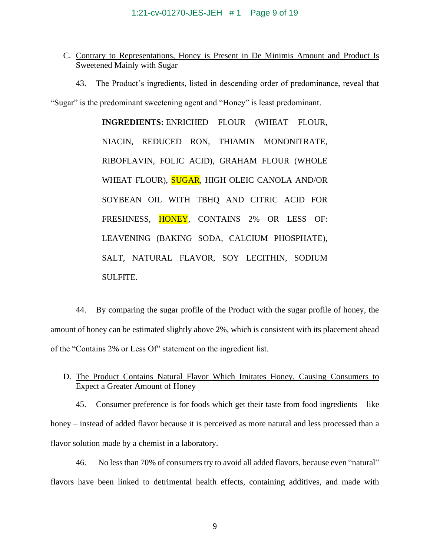## C. Contrary to Representations, Honey is Present in De Minimis Amount and Product Is Sweetened Mainly with Sugar

43. The Product's ingredients, listed in descending order of predominance, reveal that

"Sugar" is the predominant sweetening agent and "Honey" is least predominant.

**INGREDIENTS:** ENRICHED FLOUR (WHEAT FLOUR, NIACIN, REDUCED RON, THIAMIN MONONITRATE, RIBOFLAVIN, FOLIC ACID), GRAHAM FLOUR (WHOLE WHEAT FLOUR), **SUGAR**, HIGH OLEIC CANOLA AND/OR SOYBEAN OIL WITH TBHQ AND CITRIC ACID FOR FRESHNESS, HONEY, CONTAINS 2% OR LESS OF: LEAVENING (BAKING SODA, CALCIUM PHOSPHATE), SALT, NATURAL FLAVOR, SOY LECITHIN, SODIUM SULFITE.

44. By comparing the sugar profile of the Product with the sugar profile of honey, the amount of honey can be estimated slightly above 2%, which is consistent with its placement ahead of the "Contains 2% or Less Of" statement on the ingredient list.

## D. The Product Contains Natural Flavor Which Imitates Honey, Causing Consumers to Expect a Greater Amount of Honey

45. Consumer preference is for foods which get their taste from food ingredients – like honey – instead of added flavor because it is perceived as more natural and less processed than a flavor solution made by a chemist in a laboratory.

46. No less than 70% of consumers try to avoid all added flavors, because even "natural" flavors have been linked to detrimental health effects, containing additives, and made with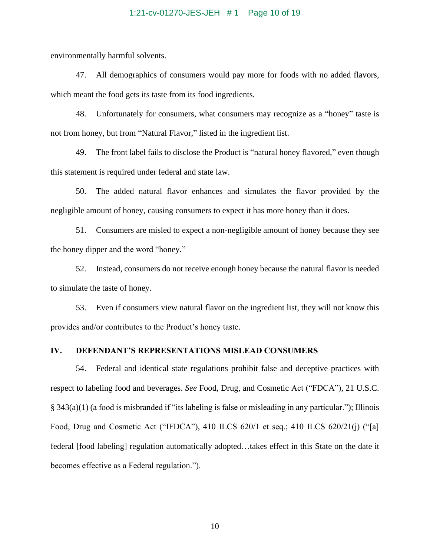#### 1:21-cv-01270-JES-JEH # 1 Page 10 of 19

environmentally harmful solvents.

47. All demographics of consumers would pay more for foods with no added flavors, which meant the food gets its taste from its food ingredients.

48. Unfortunately for consumers, what consumers may recognize as a "honey" taste is not from honey, but from "Natural Flavor," listed in the ingredient list.

49. The front label fails to disclose the Product is "natural honey flavored," even though this statement is required under federal and state law.

50. The added natural flavor enhances and simulates the flavor provided by the negligible amount of honey, causing consumers to expect it has more honey than it does.

51. Consumers are misled to expect a non-negligible amount of honey because they see the honey dipper and the word "honey."

52. Instead, consumers do not receive enough honey because the natural flavor is needed to simulate the taste of honey.

53. Even if consumers view natural flavor on the ingredient list, they will not know this provides and/or contributes to the Product's honey taste.

## **IV. DEFENDANT'S REPRESENTATIONS MISLEAD CONSUMERS**

54. Federal and identical state regulations prohibit false and deceptive practices with respect to labeling food and beverages. *See* Food, Drug, and Cosmetic Act ("FDCA"), 21 U.S.C. § 343(a)(1) (a food is misbranded if "its labeling is false or misleading in any particular."); Illinois Food, Drug and Cosmetic Act ("IFDCA"), 410 ILCS 620/1 et seq.; 410 ILCS 620/21(j) ("[a] federal [food labeling] regulation automatically adopted…takes effect in this State on the date it becomes effective as a Federal regulation.").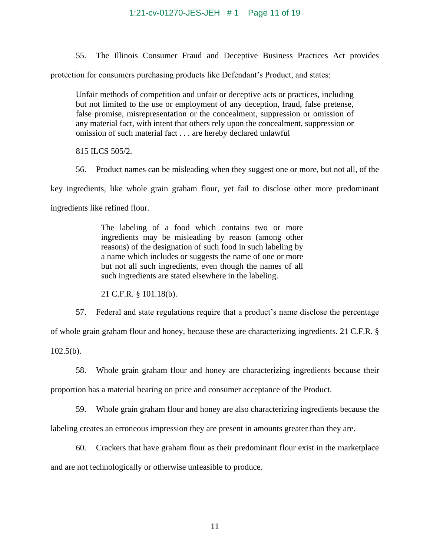#### 1:21-cv-01270-JES-JEH # 1 Page 11 of 19

55. The Illinois Consumer Fraud and Deceptive Business Practices Act provides

protection for consumers purchasing products like Defendant's Product, and states:

Unfair methods of competition and unfair or deceptive acts or practices, including but not limited to the use or employment of any deception, fraud, false pretense, false promise, misrepresentation or the concealment, suppression or omission of any material fact, with intent that others rely upon the concealment, suppression or omission of such material fact . . . are hereby declared unlawful

815 ILCS 505/2.

56. Product names can be misleading when they suggest one or more, but not all, of the

key ingredients, like whole grain graham flour, yet fail to disclose other more predominant

ingredients like refined flour.

The labeling of a food which contains two or more ingredients may be misleading by reason (among other reasons) of the designation of such food in such labeling by a name which includes or suggests the name of one or more but not all such ingredients, even though the names of all such ingredients are stated elsewhere in the labeling.

21 C.F.R. § 101.18(b).

57. Federal and state regulations require that a product's name disclose the percentage

of whole grain graham flour and honey, because these are characterizing ingredients. 21 C.F.R. §

 $102.5(b)$ .

58. Whole grain graham flour and honey are characterizing ingredients because their proportion has a material bearing on price and consumer acceptance of the Product.

59. Whole grain graham flour and honey are also characterizing ingredients because the labeling creates an erroneous impression they are present in amounts greater than they are.

60. Crackers that have graham flour as their predominant flour exist in the marketplace and are not technologically or otherwise unfeasible to produce.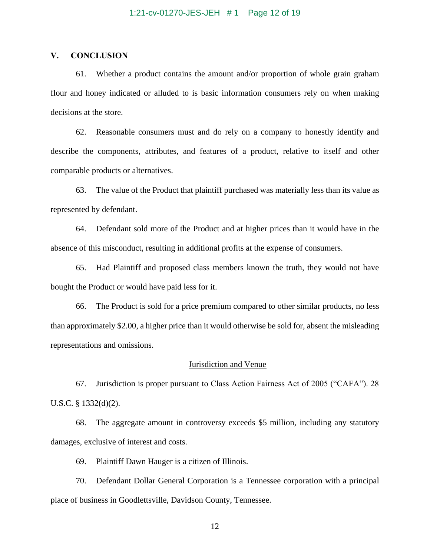## **V. CONCLUSION**

61. Whether a product contains the amount and/or proportion of whole grain graham flour and honey indicated or alluded to is basic information consumers rely on when making decisions at the store.

62. Reasonable consumers must and do rely on a company to honestly identify and describe the components, attributes, and features of a product, relative to itself and other comparable products or alternatives.

63. The value of the Product that plaintiff purchased was materially less than its value as represented by defendant.

64. Defendant sold more of the Product and at higher prices than it would have in the absence of this misconduct, resulting in additional profits at the expense of consumers.

65. Had Plaintiff and proposed class members known the truth, they would not have bought the Product or would have paid less for it.

66. The Product is sold for a price premium compared to other similar products, no less than approximately \$2.00, a higher price than it would otherwise be sold for, absent the misleading representations and omissions.

#### Jurisdiction and Venue

67. Jurisdiction is proper pursuant to Class Action Fairness Act of 2005 ("CAFA"). 28 U.S.C. § 1332(d)(2).

68. The aggregate amount in controversy exceeds \$5 million, including any statutory damages, exclusive of interest and costs.

69. Plaintiff Dawn Hauger is a citizen of Illinois.

70. Defendant Dollar General Corporation is a Tennessee corporation with a principal place of business in Goodlettsville, Davidson County, Tennessee.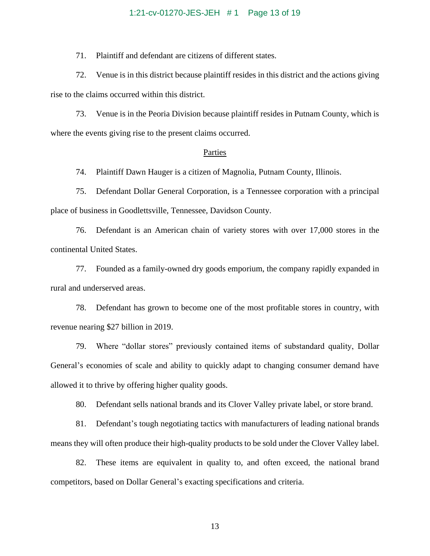#### 1:21-cv-01270-JES-JEH # 1 Page 13 of 19

71. Plaintiff and defendant are citizens of different states.

72. Venue is in this district because plaintiff resides in this district and the actions giving rise to the claims occurred within this district.

73. Venue is in the Peoria Division because plaintiff resides in Putnam County, which is where the events giving rise to the present claims occurred.

#### Parties

74. Plaintiff Dawn Hauger is a citizen of Magnolia, Putnam County, Illinois.

75. Defendant Dollar General Corporation, is a Tennessee corporation with a principal place of business in Goodlettsville, Tennessee, Davidson County.

76. Defendant is an American chain of variety stores with over 17,000 stores in the continental United States.

77. Founded as a family-owned dry goods emporium, the company rapidly expanded in rural and underserved areas.

78. Defendant has grown to become one of the most profitable stores in country, with revenue nearing \$27 billion in 2019.

79. Where "dollar stores" previously contained items of substandard quality, Dollar General's economies of scale and ability to quickly adapt to changing consumer demand have allowed it to thrive by offering higher quality goods.

80. Defendant sells national brands and its Clover Valley private label, or store brand.

81. Defendant's tough negotiating tactics with manufacturers of leading national brands means they will often produce their high-quality products to be sold under the Clover Valley label.

82. These items are equivalent in quality to, and often exceed, the national brand competitors, based on Dollar General's exacting specifications and criteria.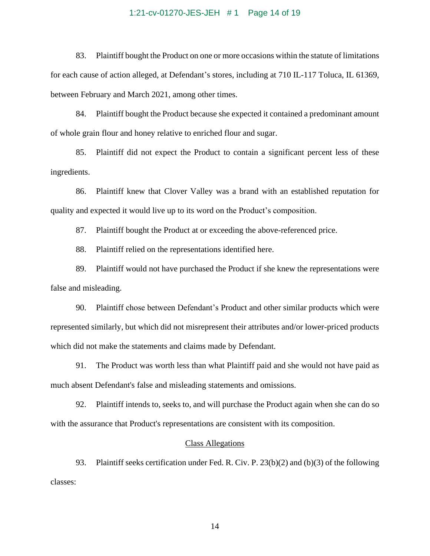#### 1:21-cv-01270-JES-JEH # 1 Page 14 of 19

83. Plaintiff bought the Product on one or more occasions within the statute of limitations for each cause of action alleged, at Defendant's stores, including at 710 IL-117 Toluca, IL 61369, between February and March 2021, among other times.

84. Plaintiff bought the Product because she expected it contained a predominant amount of whole grain flour and honey relative to enriched flour and sugar.

85. Plaintiff did not expect the Product to contain a significant percent less of these ingredients.

86. Plaintiff knew that Clover Valley was a brand with an established reputation for quality and expected it would live up to its word on the Product's composition.

87. Plaintiff bought the Product at or exceeding the above-referenced price.

88. Plaintiff relied on the representations identified here.

89. Plaintiff would not have purchased the Product if she knew the representations were false and misleading.

90. Plaintiff chose between Defendant's Product and other similar products which were represented similarly, but which did not misrepresent their attributes and/or lower-priced products which did not make the statements and claims made by Defendant.

91. The Product was worth less than what Plaintiff paid and she would not have paid as much absent Defendant's false and misleading statements and omissions.

92. Plaintiff intends to, seeks to, and will purchase the Product again when she can do so with the assurance that Product's representations are consistent with its composition.

#### Class Allegations

93. Plaintiff seeks certification under Fed. R. Civ. P. 23(b)(2) and (b)(3) of the following classes: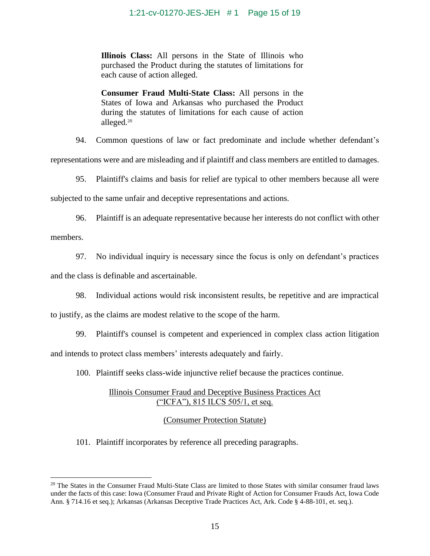**Illinois Class:** All persons in the State of Illinois who purchased the Product during the statutes of limitations for each cause of action alleged.

**Consumer Fraud Multi-State Class:** All persons in the States of Iowa and Arkansas who purchased the Product during the statutes of limitations for each cause of action alleged.<sup>20</sup>

94. Common questions of law or fact predominate and include whether defendant's

representations were and are misleading and if plaintiff and class members are entitled to damages.

95. Plaintiff's claims and basis for relief are typical to other members because all were

subjected to the same unfair and deceptive representations and actions.

96. Plaintiff is an adequate representative because her interests do not conflict with other

members.

97. No individual inquiry is necessary since the focus is only on defendant's practices

and the class is definable and ascertainable.

98. Individual actions would risk inconsistent results, be repetitive and are impractical

to justify, as the claims are modest relative to the scope of the harm.

99. Plaintiff's counsel is competent and experienced in complex class action litigation and intends to protect class members' interests adequately and fairly.

100. Plaintiff seeks class-wide injunctive relief because the practices continue.

## Illinois Consumer Fraud and Deceptive Business Practices Act ("ICFA"), 815 ILCS 505/1, et seq.

## (Consumer Protection Statute)

101. Plaintiff incorporates by reference all preceding paragraphs.

<sup>&</sup>lt;sup>20</sup> The States in the Consumer Fraud Multi-State Class are limited to those States with similar consumer fraud laws under the facts of this case: Iowa (Consumer Fraud and Private Right of Action for Consumer Frauds Act, Iowa Code Ann. § 714.16 et seq.); Arkansas (Arkansas Deceptive Trade Practices Act, Ark. Code § 4-88-101, et. seq.).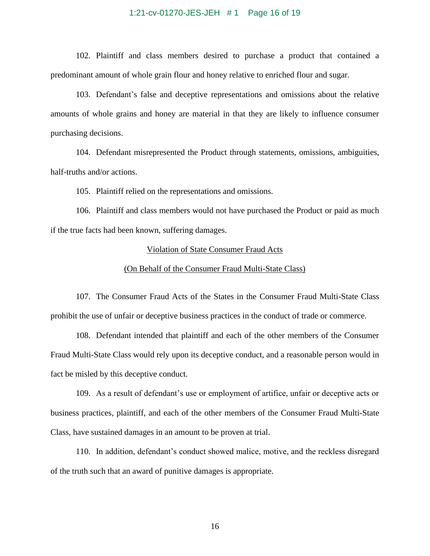#### 1:21-cv-01270-JES-JEH # 1 Page 16 of 19

102. Plaintiff and class members desired to purchase a product that contained a predominant amount of whole grain flour and honey relative to enriched flour and sugar.

103. Defendant's false and deceptive representations and omissions about the relative amounts of whole grains and honey are material in that they are likely to influence consumer purchasing decisions.

104. Defendant misrepresented the Product through statements, omissions, ambiguities, half-truths and/or actions.

105. Plaintiff relied on the representations and omissions.

106. Plaintiff and class members would not have purchased the Product or paid as much if the true facts had been known, suffering damages.

#### Violation of State Consumer Fraud Acts

#### (On Behalf of the Consumer Fraud Multi-State Class)

107. The Consumer Fraud Acts of the States in the Consumer Fraud Multi-State Class prohibit the use of unfair or deceptive business practices in the conduct of trade or commerce.

108. Defendant intended that plaintiff and each of the other members of the Consumer Fraud Multi-State Class would rely upon its deceptive conduct, and a reasonable person would in fact be misled by this deceptive conduct.

109. As a result of defendant's use or employment of artifice, unfair or deceptive acts or business practices, plaintiff, and each of the other members of the Consumer Fraud Multi-State Class, have sustained damages in an amount to be proven at trial.

110. In addition, defendant's conduct showed malice, motive, and the reckless disregard of the truth such that an award of punitive damages is appropriate.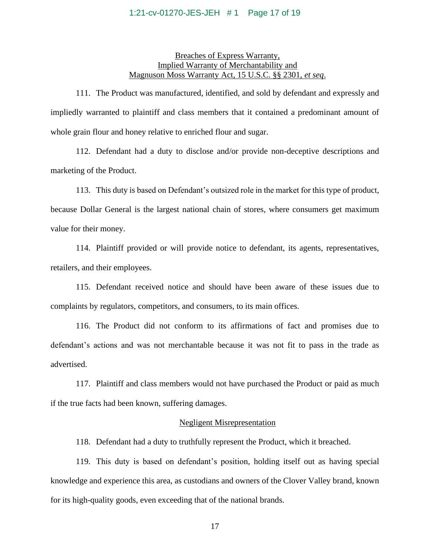#### 1:21-cv-01270-JES-JEH # 1 Page 17 of 19

## Breaches of Express Warranty, Implied Warranty of Merchantability and Magnuson Moss Warranty Act, 15 U.S.C. §§ 2301, *et seq*.

111. The Product was manufactured, identified, and sold by defendant and expressly and impliedly warranted to plaintiff and class members that it contained a predominant amount of whole grain flour and honey relative to enriched flour and sugar.

112. Defendant had a duty to disclose and/or provide non-deceptive descriptions and marketing of the Product.

113. This duty is based on Defendant's outsized role in the market for this type of product, because Dollar General is the largest national chain of stores, where consumers get maximum value for their money.

114. Plaintiff provided or will provide notice to defendant, its agents, representatives, retailers, and their employees.

115. Defendant received notice and should have been aware of these issues due to complaints by regulators, competitors, and consumers, to its main offices.

116. The Product did not conform to its affirmations of fact and promises due to defendant's actions and was not merchantable because it was not fit to pass in the trade as advertised.

117. Plaintiff and class members would not have purchased the Product or paid as much if the true facts had been known, suffering damages.

#### Negligent Misrepresentation

118. Defendant had a duty to truthfully represent the Product, which it breached.

119. This duty is based on defendant's position, holding itself out as having special knowledge and experience this area, as custodians and owners of the Clover Valley brand, known for its high-quality goods, even exceeding that of the national brands.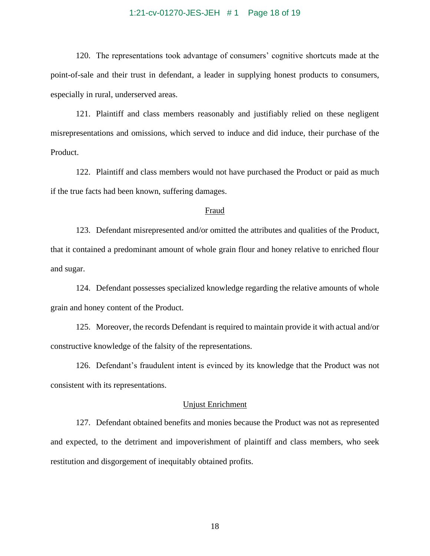#### 1:21-cv-01270-JES-JEH # 1 Page 18 of 19

120. The representations took advantage of consumers' cognitive shortcuts made at the point-of-sale and their trust in defendant, a leader in supplying honest products to consumers, especially in rural, underserved areas.

121. Plaintiff and class members reasonably and justifiably relied on these negligent misrepresentations and omissions, which served to induce and did induce, their purchase of the Product.

122. Plaintiff and class members would not have purchased the Product or paid as much if the true facts had been known, suffering damages.

#### Fraud

123. Defendant misrepresented and/or omitted the attributes and qualities of the Product, that it contained a predominant amount of whole grain flour and honey relative to enriched flour and sugar.

124. Defendant possesses specialized knowledge regarding the relative amounts of whole grain and honey content of the Product.

125. Moreover, the records Defendant is required to maintain provide it with actual and/or constructive knowledge of the falsity of the representations.

126. Defendant's fraudulent intent is evinced by its knowledge that the Product was not consistent with its representations.

#### Unjust Enrichment

127. Defendant obtained benefits and monies because the Product was not as represented and expected, to the detriment and impoverishment of plaintiff and class members, who seek restitution and disgorgement of inequitably obtained profits.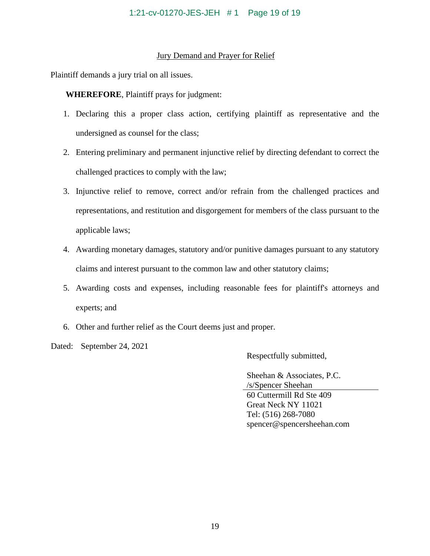## Jury Demand and Prayer for Relief

Plaintiff demands a jury trial on all issues.

**WHEREFORE**, Plaintiff prays for judgment:

- 1. Declaring this a proper class action, certifying plaintiff as representative and the undersigned as counsel for the class;
- 2. Entering preliminary and permanent injunctive relief by directing defendant to correct the challenged practices to comply with the law;
- 3. Injunctive relief to remove, correct and/or refrain from the challenged practices and representations, and restitution and disgorgement for members of the class pursuant to the applicable laws;
- 4. Awarding monetary damages, statutory and/or punitive damages pursuant to any statutory claims and interest pursuant to the common law and other statutory claims;
- 5. Awarding costs and expenses, including reasonable fees for plaintiff's attorneys and experts; and
- 6. Other and further relief as the Court deems just and proper.

Dated: September 24, 2021

Respectfully submitted,

Sheehan & Associates, P.C. /s/Spencer Sheehan 60 Cuttermill Rd Ste 409 Great Neck NY 11021 Tel: (516) 268-7080 spencer@spencersheehan.com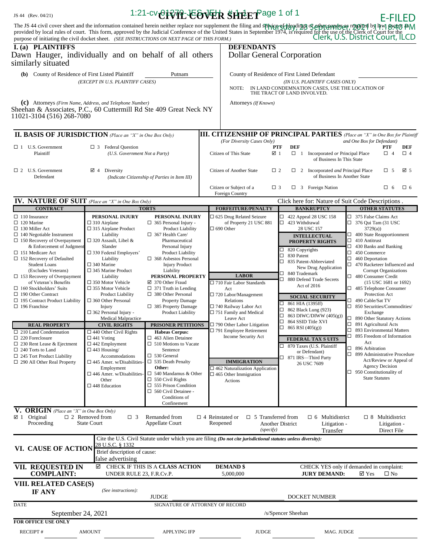| JS 44 (Rev. 04/21)                                                                                                                                                                                                                                                                                                                                                                                                                                                                                                                                                                                                                                                                                            |                                                                                                                                                                                                                                                                                                                                                                                                                                                                                                                                                                                                                                                                                                       |                                                                                                                                                                                                                                                                                                                                                                                                                                                                                                                                                                                                                                                                                                                                                                                 | 1:21-cv CIVIL EOVER SHEET age 1 of 1                                                                                                                                                                                                                                                                                                                                                                                                                     |                                                                                                                                                                                                                                                                                                                                                                                                                                                                                                                                                                                                | <b>E-FILED</b>                                                                                                                                                                                                                                                                                                                                                                                                                                                                                                                                                                                                                                                                                                                                                  |  |  |  |
|---------------------------------------------------------------------------------------------------------------------------------------------------------------------------------------------------------------------------------------------------------------------------------------------------------------------------------------------------------------------------------------------------------------------------------------------------------------------------------------------------------------------------------------------------------------------------------------------------------------------------------------------------------------------------------------------------------------|-------------------------------------------------------------------------------------------------------------------------------------------------------------------------------------------------------------------------------------------------------------------------------------------------------------------------------------------------------------------------------------------------------------------------------------------------------------------------------------------------------------------------------------------------------------------------------------------------------------------------------------------------------------------------------------------------------|---------------------------------------------------------------------------------------------------------------------------------------------------------------------------------------------------------------------------------------------------------------------------------------------------------------------------------------------------------------------------------------------------------------------------------------------------------------------------------------------------------------------------------------------------------------------------------------------------------------------------------------------------------------------------------------------------------------------------------------------------------------------------------|----------------------------------------------------------------------------------------------------------------------------------------------------------------------------------------------------------------------------------------------------------------------------------------------------------------------------------------------------------------------------------------------------------------------------------------------------------|------------------------------------------------------------------------------------------------------------------------------------------------------------------------------------------------------------------------------------------------------------------------------------------------------------------------------------------------------------------------------------------------------------------------------------------------------------------------------------------------------------------------------------------------------------------------------------------------|-----------------------------------------------------------------------------------------------------------------------------------------------------------------------------------------------------------------------------------------------------------------------------------------------------------------------------------------------------------------------------------------------------------------------------------------------------------------------------------------------------------------------------------------------------------------------------------------------------------------------------------------------------------------------------------------------------------------------------------------------------------------|--|--|--|
|                                                                                                                                                                                                                                                                                                                                                                                                                                                                                                                                                                                                                                                                                                               |                                                                                                                                                                                                                                                                                                                                                                                                                                                                                                                                                                                                                                                                                                       |                                                                                                                                                                                                                                                                                                                                                                                                                                                                                                                                                                                                                                                                                                                                                                                 |                                                                                                                                                                                                                                                                                                                                                                                                                                                          | The JS 44 civil cover sheet and the information contained herein neither replace nor supplement the filing and <b>spinicipal confergions</b> of an information of the United States in September 1974, is required for the use of t                                                                                                                                                                                                                                                                                                                                                            |                                                                                                                                                                                                                                                                                                                                                                                                                                                                                                                                                                                                                                                                                                                                                                 |  |  |  |
| I. (a) PLAINTIFFS<br>Dawn Hauger, individually and on behalf of all others<br>similarly situated                                                                                                                                                                                                                                                                                                                                                                                                                                                                                                                                                                                                              |                                                                                                                                                                                                                                                                                                                                                                                                                                                                                                                                                                                                                                                                                                       |                                                                                                                                                                                                                                                                                                                                                                                                                                                                                                                                                                                                                                                                                                                                                                                 |                                                                                                                                                                                                                                                                                                                                                                                                                                                          | <b>DEFENDANTS</b><br><b>Dollar General Corporation</b>                                                                                                                                                                                                                                                                                                                                                                                                                                                                                                                                         |                                                                                                                                                                                                                                                                                                                                                                                                                                                                                                                                                                                                                                                                                                                                                                 |  |  |  |
| (b) County of Residence of First Listed Plaintiff                                                                                                                                                                                                                                                                                                                                                                                                                                                                                                                                                                                                                                                             | (EXCEPT IN U.S. PLAINTIFF CASES)                                                                                                                                                                                                                                                                                                                                                                                                                                                                                                                                                                                                                                                                      | Putnam                                                                                                                                                                                                                                                                                                                                                                                                                                                                                                                                                                                                                                                                                                                                                                          | NOTE:                                                                                                                                                                                                                                                                                                                                                                                                                                                    | County of Residence of First Listed Defendant<br>(IN U.S. PLAINTIFF CASES ONLY)<br>IN LAND CONDEMNATION CASES, USE THE LOCATION OF<br>THE TRACT OF LAND INVOLVED.                                                                                                                                                                                                                                                                                                                                                                                                                              |                                                                                                                                                                                                                                                                                                                                                                                                                                                                                                                                                                                                                                                                                                                                                                 |  |  |  |
| (c) Attorneys (Firm Name, Address, and Telephone Number)<br>Sheehan & Associates, P.C., 60 Cuttermill Rd Ste 409 Great Neck NY<br>11021-3104 (516) 268-7080                                                                                                                                                                                                                                                                                                                                                                                                                                                                                                                                                   |                                                                                                                                                                                                                                                                                                                                                                                                                                                                                                                                                                                                                                                                                                       |                                                                                                                                                                                                                                                                                                                                                                                                                                                                                                                                                                                                                                                                                                                                                                                 | Attorneys (If Known)                                                                                                                                                                                                                                                                                                                                                                                                                                     |                                                                                                                                                                                                                                                                                                                                                                                                                                                                                                                                                                                                |                                                                                                                                                                                                                                                                                                                                                                                                                                                                                                                                                                                                                                                                                                                                                                 |  |  |  |
| <b>II. BASIS OF JURISDICTION</b> (Place an "X" in One Box Only)                                                                                                                                                                                                                                                                                                                                                                                                                                                                                                                                                                                                                                               |                                                                                                                                                                                                                                                                                                                                                                                                                                                                                                                                                                                                                                                                                                       |                                                                                                                                                                                                                                                                                                                                                                                                                                                                                                                                                                                                                                                                                                                                                                                 | (For Diversity Cases Only)                                                                                                                                                                                                                                                                                                                                                                                                                               | <b>III. CITIZENSHIP OF PRINCIPAL PARTIES</b> (Place an "X" in One Box for Plaintiff                                                                                                                                                                                                                                                                                                                                                                                                                                                                                                            | and One Box for Defendant)                                                                                                                                                                                                                                                                                                                                                                                                                                                                                                                                                                                                                                                                                                                                      |  |  |  |
| $\Box$ 1 U.S. Government<br>Plaintiff                                                                                                                                                                                                                                                                                                                                                                                                                                                                                                                                                                                                                                                                         | $\Box$ 3 Federal Question<br>(U.S. Government Not a Party)                                                                                                                                                                                                                                                                                                                                                                                                                                                                                                                                                                                                                                            |                                                                                                                                                                                                                                                                                                                                                                                                                                                                                                                                                                                                                                                                                                                                                                                 | Citizen of This State                                                                                                                                                                                                                                                                                                                                                                                                                                    | <b>PTF</b><br><b>DEF</b><br>☑ 1<br>$\Box$ 1 Incorporated or Principal Place<br>of Business In This State                                                                                                                                                                                                                                                                                                                                                                                                                                                                                       | PTF<br>DEF<br>$\Box$ 4<br>$\Box$ 4                                                                                                                                                                                                                                                                                                                                                                                                                                                                                                                                                                                                                                                                                                                              |  |  |  |
| $\Box$ 2 U.S. Government<br>Defendant                                                                                                                                                                                                                                                                                                                                                                                                                                                                                                                                                                                                                                                                         | $\boxtimes$ 4 Diversity                                                                                                                                                                                                                                                                                                                                                                                                                                                                                                                                                                                                                                                                               | (Indicate Citizenship of Parties in Item III)                                                                                                                                                                                                                                                                                                                                                                                                                                                                                                                                                                                                                                                                                                                                   | Citizen of Another State                                                                                                                                                                                                                                                                                                                                                                                                                                 | $\Box$ 2<br>$\Box$ 2 Incorporated <i>and</i> Principal Place<br>of Business In Another State                                                                                                                                                                                                                                                                                                                                                                                                                                                                                                   | ⊠ 5<br>$\Box$ 5                                                                                                                                                                                                                                                                                                                                                                                                                                                                                                                                                                                                                                                                                                                                                 |  |  |  |
| <b>IV. NATURE OF SUIT</b> (Place an "X" in One Box Only)                                                                                                                                                                                                                                                                                                                                                                                                                                                                                                                                                                                                                                                      |                                                                                                                                                                                                                                                                                                                                                                                                                                                                                                                                                                                                                                                                                                       |                                                                                                                                                                                                                                                                                                                                                                                                                                                                                                                                                                                                                                                                                                                                                                                 | Citizen or Subject of a<br>Foreign Country                                                                                                                                                                                                                                                                                                                                                                                                               | $\Box$ 3<br>$\Box$ 3 Foreign Nation<br>Click here for: Nature of Suit Code Descriptions.                                                                                                                                                                                                                                                                                                                                                                                                                                                                                                       | $\square$ 6<br>$\Box$ 6                                                                                                                                                                                                                                                                                                                                                                                                                                                                                                                                                                                                                                                                                                                                         |  |  |  |
| <b>CONTRACT</b>                                                                                                                                                                                                                                                                                                                                                                                                                                                                                                                                                                                                                                                                                               |                                                                                                                                                                                                                                                                                                                                                                                                                                                                                                                                                                                                                                                                                                       | <b>TORTS</b>                                                                                                                                                                                                                                                                                                                                                                                                                                                                                                                                                                                                                                                                                                                                                                    | <b>FORFEITURE/PENALTY</b>                                                                                                                                                                                                                                                                                                                                                                                                                                | <b>BANKRUPTCY</b>                                                                                                                                                                                                                                                                                                                                                                                                                                                                                                                                                                              | <b>OTHER STATUTES</b>                                                                                                                                                                                                                                                                                                                                                                                                                                                                                                                                                                                                                                                                                                                                           |  |  |  |
| $\Box$ 110 Insurance<br>$\Box$ 120 Marine<br>$\Box$ 130 Miller Act<br>$\Box$ 140 Negotiable Instrument<br>$\Box$ 150 Recovery of Overpayment<br>& Enforcement of Judgment<br>$\Box$ 151 Medicare Act<br>$\Box$ 152 Recovery of Defaulted<br><b>Student Loans</b><br>(Excludes Veterans)<br>$\Box$ 153 Recovery of Overpayment<br>of Veteran's Benefits<br>$\Box$ 160 Stockholders' Suits<br>$\Box$ 190 Other Contract<br>$\Box$ 195 Contract Product Liability<br>$\Box$ 196 Franchise<br>REAL PROPERTY<br>$\Box$ 210 Land Condemnation<br>$\Box$ 220 Foreclosure<br>$\Box$ 230 Rent Lease & Ejectment<br>$\Box$ 240 Torts to Land<br>$\Box$ 245 Tort Product Liability<br>$\Box$ 290 All Other Real Property | PERSONAL INJURY<br>$\Box$ 310 Airplane<br>$\Box$ 315 Airplane Product<br>Liability<br>$\Box$ 320 Assault, Libel &<br>Slander<br>□ 330 Federal Employers'<br>Liability<br>$\square$ 340 Marine<br>$\Box$ 345 Marine Product<br>Liability<br>$\square$ 350 Motor Vehicle<br>$\square$ 355 Motor Vehicle<br><b>Product Liability</b><br>□ 360 Other Personal<br>Injury<br>$\Box$ 362 Personal Injury -<br>Medical Malpractice<br><b>CIVIL RIGHTS</b><br>$\Box$ 440 Other Civil Rights<br>$\Box$ 441 Voting<br>$\Box$ 442 Employment<br>$\Box$ 443 Housing/<br>Accommodations<br>$\square$ 445 Amer. w/Disabilities-<br>Employment<br>$\square$ 446 Amer. w/Disabilities<br>Other<br>$\Box$ 448 Education | PERSONAL INJURY<br>$\Box$ 365 Personal Injury -<br><b>Product Liability</b><br>$\Box$ 367 Health Care/<br>Pharmaceutical<br>Personal Injury<br>Product Liability<br>$\Box$ 368 Asbestos Personal<br><b>Injury Product</b><br>Liability<br>PERSONAL PROPERTY<br>☑ 370 Other Fraud<br>$\Box$ 371 Truth in Lending<br>$\Box$ 380 Other Personal<br><b>Property Damage</b><br>$\Box$ 385 Property Damage<br>Product Liability<br><b>PRISONER PETITIONS</b><br><b>Habeas Corpus:</b><br>$\Box$ 463 Alien Detainee<br>$\Box$ 510 Motions to Vacate<br>Sentence<br>$\square$ 530 General<br>$\Box$ 535 Death Penalty<br>Other:<br>$\Box$ 540 Mandamus & Other<br>$\Box$ 550 Civil Rights<br>$\Box$ 555 Prison Condition<br>$\Box$ 560 Civil Detainee -<br>Conditions of<br>Confinement | □ 625 Drug Related Seizure<br>of Property 21 USC 881<br>$\square$ 690 Other<br><b>LABOR</b><br>□ 710 Fair Labor Standards<br>Act<br>□ 720 Labor/Management<br>Relations<br>□ 740 Railway Labor Act<br>$\Box$ 751 Family and Medical<br>Leave Act<br>□ 790 Other Labor Litigation<br>□ 791 Employee Retirement<br><b>Income Security Act</b><br><b>IMMIGRATION</b><br>$\Box$ 462 Naturalization Application<br>$\square$ 465 Other Immigration<br>Actions | $\Box$ 422 Appeal 28 USC 158<br>$\Box$ 423 Withdrawal<br>28 USC 157<br><b>INTELLECTUAL</b><br><b>PROPERTY RIGHTS</b><br>$\Box$ 820 Copyrights<br>◻<br>830 Patent<br>□<br>835 Patent-Abbreviated<br>New Drug Application<br>840 Trademark<br>◻<br>□<br>880 Defend Trade Secrets<br>Act of 2016<br><b>SOCIAL SECURITY</b><br>861 HIA (1395ff)<br>□<br>862 Black Lung (923)<br>□<br>863 DIWC/DIWW (405(g))<br>$\Box$<br>$\Box$<br>864 SSID Title XVI<br>$\Box$ 865 RSI (405(g))<br><b>FEDERAL TAX SUITS</b><br>870 Taxes (U.S. Plaintiff<br>or Defendant)<br>□ 871 IRS-Third Party<br>26 USC 7609 | □ 375 False Claims Act<br>$\Box$ 376 Qui Tam (31 USC<br>3729(a)<br>$\Box$ 400 State Reapportionment<br>$\Box$ 410 Antitrust<br>$\Box$ 430 Banks and Banking<br>$\Box$ 450 Commerce<br>$\Box$ 460 Deportation<br>□ 470 Racketeer Influenced and<br>Corrupt Organizations<br>480 Consumer Credit<br>(15 USC 1681 or 1692)<br>$\Box$ 485 Telephone Consumer<br>Protection Act<br>□ 490 Cable/Sat TV<br>□ 850 Securities/Commodities/<br>Exchange<br>□ 890 Other Statutory Actions<br>□ 891 Agricultural Acts<br>$\Box$ 893 Environmental Matters<br>◻<br>895 Freedom of Information<br>Act<br>□ 896 Arbitration<br>□ 899 Administrative Procedure<br>Act/Review or Appeal of<br><b>Agency Decision</b><br>$\Box$ 950 Constitutionality of<br><b>State Statutes</b> |  |  |  |
| V. ORIGIN (Place an "X" in One Box Only)<br>$\boxtimes$ 1 Original<br>Proceeding                                                                                                                                                                                                                                                                                                                                                                                                                                                                                                                                                                                                                              | $\Box$ 2 Removed from<br>$\Box$ 3<br><b>State Court</b>                                                                                                                                                                                                                                                                                                                                                                                                                                                                                                                                                                                                                                               | Remanded from<br>Appellate Court                                                                                                                                                                                                                                                                                                                                                                                                                                                                                                                                                                                                                                                                                                                                                | $\Box$ 4 Reinstated or<br>Reopened<br>Cite the U.S. Civil Statute under which you are filing (Do not cite jurisdictional statutes unless diversity):                                                                                                                                                                                                                                                                                                     | $\Box$ 5 Transferred from<br>$\Box$ 6 Multidistrict<br>Another District<br>Litigation -<br>(specify)<br>Transfer                                                                                                                                                                                                                                                                                                                                                                                                                                                                               | $\Box$ 8 Multidistrict<br>Litigation -<br>Direct File                                                                                                                                                                                                                                                                                                                                                                                                                                                                                                                                                                                                                                                                                                           |  |  |  |
| VI. CAUSE OF ACTION                                                                                                                                                                                                                                                                                                                                                                                                                                                                                                                                                                                                                                                                                           | 28 U.S.C. § 1332<br>Brief description of cause:<br>false advertising                                                                                                                                                                                                                                                                                                                                                                                                                                                                                                                                                                                                                                  |                                                                                                                                                                                                                                                                                                                                                                                                                                                                                                                                                                                                                                                                                                                                                                                 |                                                                                                                                                                                                                                                                                                                                                                                                                                                          |                                                                                                                                                                                                                                                                                                                                                                                                                                                                                                                                                                                                |                                                                                                                                                                                                                                                                                                                                                                                                                                                                                                                                                                                                                                                                                                                                                                 |  |  |  |
| <b>VII. REQUESTED IN</b><br><b>COMPLAINT:</b>                                                                                                                                                                                                                                                                                                                                                                                                                                                                                                                                                                                                                                                                 | ☑<br>UNDER RULE 23, F.R.Cv.P.                                                                                                                                                                                                                                                                                                                                                                                                                                                                                                                                                                                                                                                                         | CHECK IF THIS IS A CLASS ACTION                                                                                                                                                                                                                                                                                                                                                                                                                                                                                                                                                                                                                                                                                                                                                 | <b>DEMAND \$</b><br>5,000,000                                                                                                                                                                                                                                                                                                                                                                                                                            |                                                                                                                                                                                                                                                                                                                                                                                                                                                                                                                                                                                                | CHECK YES only if demanded in complaint:<br><b>JURY DEMAND:</b><br>$\boxtimes$ Yes<br>$\square$ No                                                                                                                                                                                                                                                                                                                                                                                                                                                                                                                                                                                                                                                              |  |  |  |
| VIII. RELATED CASE(S)<br><b>IF ANY</b>                                                                                                                                                                                                                                                                                                                                                                                                                                                                                                                                                                                                                                                                        | (See instructions):                                                                                                                                                                                                                                                                                                                                                                                                                                                                                                                                                                                                                                                                                   | <b>JUDGE</b>                                                                                                                                                                                                                                                                                                                                                                                                                                                                                                                                                                                                                                                                                                                                                                    |                                                                                                                                                                                                                                                                                                                                                                                                                                                          | DOCKET NUMBER                                                                                                                                                                                                                                                                                                                                                                                                                                                                                                                                                                                  |                                                                                                                                                                                                                                                                                                                                                                                                                                                                                                                                                                                                                                                                                                                                                                 |  |  |  |
| <b>DATE</b>                                                                                                                                                                                                                                                                                                                                                                                                                                                                                                                                                                                                                                                                                                   |                                                                                                                                                                                                                                                                                                                                                                                                                                                                                                                                                                                                                                                                                                       |                                                                                                                                                                                                                                                                                                                                                                                                                                                                                                                                                                                                                                                                                                                                                                                 | SIGNATURE OF ATTORNEY OF RECORD                                                                                                                                                                                                                                                                                                                                                                                                                          |                                                                                                                                                                                                                                                                                                                                                                                                                                                                                                                                                                                                |                                                                                                                                                                                                                                                                                                                                                                                                                                                                                                                                                                                                                                                                                                                                                                 |  |  |  |
| <b>FOR OFFICE USE ONLY</b>                                                                                                                                                                                                                                                                                                                                                                                                                                                                                                                                                                                                                                                                                    | September 24, 2021<br>/s/Spencer Sheehan                                                                                                                                                                                                                                                                                                                                                                                                                                                                                                                                                                                                                                                              |                                                                                                                                                                                                                                                                                                                                                                                                                                                                                                                                                                                                                                                                                                                                                                                 |                                                                                                                                                                                                                                                                                                                                                                                                                                                          |                                                                                                                                                                                                                                                                                                                                                                                                                                                                                                                                                                                                |                                                                                                                                                                                                                                                                                                                                                                                                                                                                                                                                                                                                                                                                                                                                                                 |  |  |  |
| <b>RECEIPT#</b>                                                                                                                                                                                                                                                                                                                                                                                                                                                                                                                                                                                                                                                                                               | <b>AMOUNT</b>                                                                                                                                                                                                                                                                                                                                                                                                                                                                                                                                                                                                                                                                                         | <b>APPLYING IFP</b>                                                                                                                                                                                                                                                                                                                                                                                                                                                                                                                                                                                                                                                                                                                                                             | <b>JUDGE</b>                                                                                                                                                                                                                                                                                                                                                                                                                                             | MAG. JUDGE                                                                                                                                                                                                                                                                                                                                                                                                                                                                                                                                                                                     |                                                                                                                                                                                                                                                                                                                                                                                                                                                                                                                                                                                                                                                                                                                                                                 |  |  |  |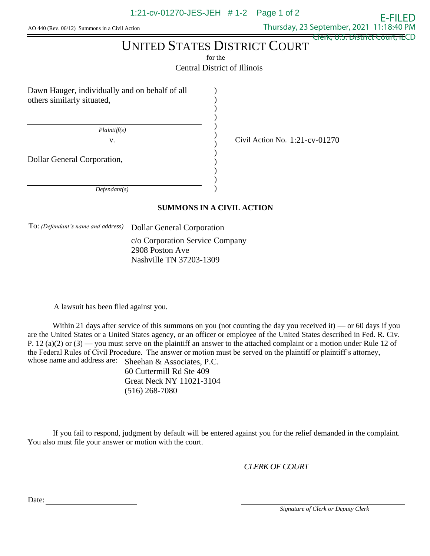AO 440 (Rev. 06/12) Summons in a Civil Action

 Thursday, 23 September, 2021 11:18:40 PM Clerk, U.S. District Court, ILCD

E-FILED

# UNITED STATES DISTRICT COURT

for the

Central District of Illinois

) ) ) ) ) ) ) ) ) ) ) )

Dawn Hauger, individually and on behalf of all others similarly situated,

 *Plaintiff(s)*

v. Civil Action No.  $1:21$ -cv-01270

Dollar General Corporation,

 *Defendant(s)*

## **SUMMONS IN A CIVIL ACTION**

To: *(Defendant's name and address)* Dollar General Corporation

c/o Corporation Service Company 2908 Poston Ave Nashville TN 37203-1309

A lawsuit has been filed against you.

Within 21 days after service of this summons on you (not counting the day you received it) — or 60 days if you are the United States or a United States agency, or an officer or employee of the United States described in Fed. R. Civ. P. 12 (a)(2) or  $(3)$  — you must serve on the plaintiff an answer to the attached complaint or a motion under Rule 12 of the Federal Rules of Civil Procedure. The answer or motion must be served on the plaintiff or plaintiff's attorney, whose name and address are: Sheehan & Associates, P.C.

60 Cuttermill Rd Ste 409 Great Neck NY 11021-3104 (516) 268-7080

If you fail to respond, judgment by default will be entered against you for the relief demanded in the complaint. You also must file your answer or motion with the court.

*CLERK OF COURT*

Date:

 *Signature of Clerk or Deputy Clerk*